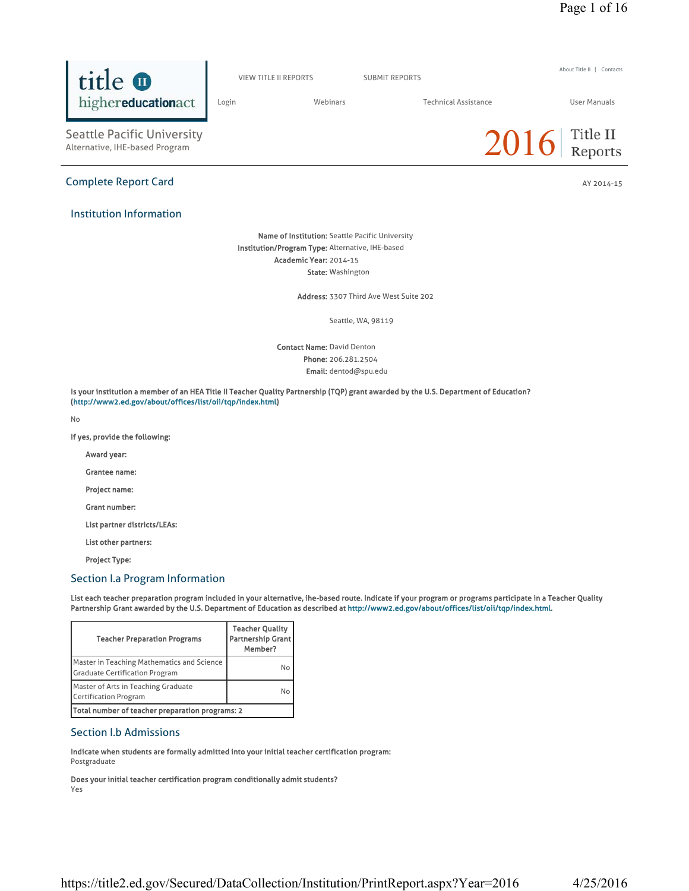About Title II | Contacts



Does your initial teacher certification program conditionally admit students?

Yes

(http://www2.ed.gov/about/offices/list/oii/tqp/index.html) No

Teacher Quality

If yes, provide the following:

Seattle Pacific University<br>Alternative, IHE-based Program

highereducationact

title **O** 

Institution Information

Grantee name:

Project name:

Grant number:

List other partners:

Project Type:

# Section I.a Program Information

List each teacher preparation program included in your alternative, ihe-based route. Indicate if your program or programs participate in a Teacher Quality Partnership Grant awarded by the U.S. Department of Education as described at http://www2.ed.gov/about/offices/list/oii/tqp/index.html.

Is your institution a member of an HEA Title II Teacher Quality Partnership (TQP) grant awarded by the U.S. Department of Education?

Award year:

List partner districts/LEAs:



Complete Report Card AY 2014-15

VIEW TITLE II REPORTS SUBMIT REPORTS

Name of Institution: Seattle Pacific University Institution/Program Type: Alternative, IHE-based Academic Year: 2014-15

State: Washington

Contact Name: David Denton Phone: 206.281.2504 Email: dentod@spu.edu

Address: 3307 Third Ave West Suite 202

Seattle, WA, 98119

Login Webinars Technical Assistance User Manuals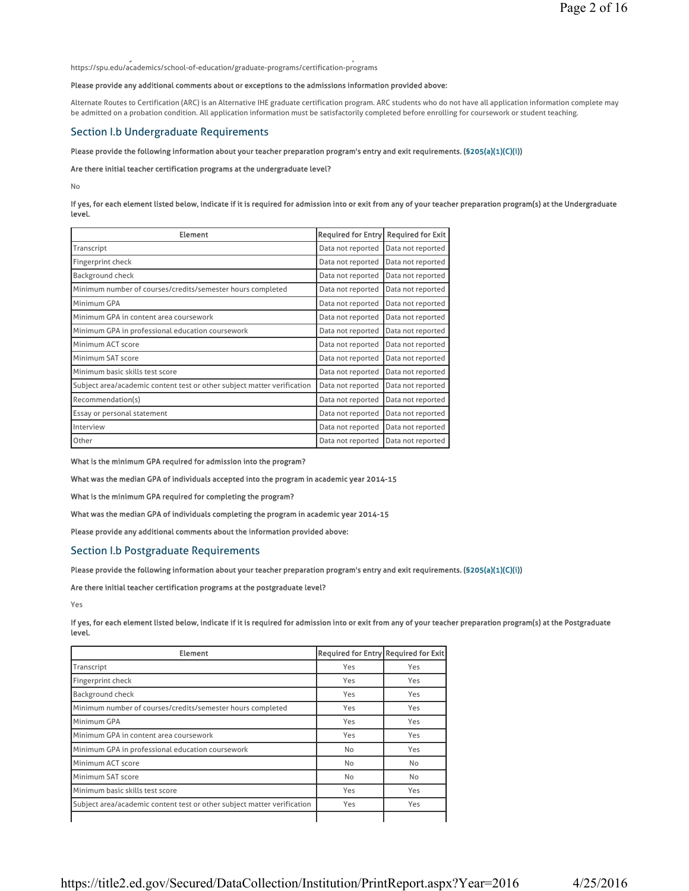https://spu.edu/academics/school-of-education/graduate-programs/certification-programs

y and the second contract of the second contract of the second contract of the second contract of the second c

#### Please provide any additional comments about or exceptions to the admissions information provided above:

Alternate Routes to Certification (ARC) is an Alternative IHE graduate certification program. ARC students who do not have all application information complete may be admitted on a probation condition. All application information must be satisfactorily completed before enrolling for coursework or student teaching.

# Section I.b Undergraduate Requirements

#### Please provide the following information about your teacher preparation program's entry and exit requirements. (§205(a)(1)(C)(i))

#### Are there initial teacher certification programs at the undergraduate level?

No

#### If yes, for each element listed below, indicate if it is required for admission into or exit from any of your teacher preparation program(s) at the Undergraduate level.

| <b>Element</b>                                                          | Required for Entry Required for Exit |                   |
|-------------------------------------------------------------------------|--------------------------------------|-------------------|
| Transcript                                                              | Data not reported                    | Data not reported |
| Fingerprint check                                                       | Data not reported                    | Data not reported |
| Background check                                                        | Data not reported                    | Data not reported |
| Minimum number of courses/credits/semester hours completed              | Data not reported                    | Data not reported |
| Minimum GPA                                                             | Data not reported                    | Data not reported |
| Minimum GPA in content area coursework                                  | Data not reported                    | Data not reported |
| Minimum GPA in professional education coursework                        | Data not reported                    | Data not reported |
| Minimum ACT score                                                       | Data not reported                    | Data not reported |
| Minimum SAT score                                                       | Data not reported                    | Data not reported |
| Minimum basic skills test score                                         | Data not reported                    | Data not reported |
| Subject area/academic content test or other subject matter verification | Data not reported                    | Data not reported |
| Recommendation(s)                                                       | Data not reported                    | Data not reported |
| Essay or personal statement                                             | Data not reported                    | Data not reported |
| Interview                                                               | Data not reported                    | Data not reported |
| Other                                                                   | Data not reported                    | Data not reported |

What is the minimum GPA required for admission into the program?

What was the median GPA of individuals accepted into the program in academic year 2014-15

What is the minimum GPA required for completing the program?

What was the median GPA of individuals completing the program in academic year 2014-15

Please provide any additional comments about the information provided above:

### Section I.b Postgraduate Requirements

Please provide the following information about your teacher preparation program's entry and exit requirements. (§205(a)(1)(C)(i))

Are there initial teacher certification programs at the postgraduate level?

Yes

If yes, for each element listed below, indicate if it is required for admission into or exit from any of your teacher preparation program(s) at the Postgraduate level.

| <b>Element</b>                                                          | <b>Required for Entry Required for Exit</b> |     |
|-------------------------------------------------------------------------|---------------------------------------------|-----|
| Transcript                                                              | Yes                                         | Yes |
| Fingerprint check                                                       | Yes                                         | Yes |
| Background check                                                        | Yes                                         | Yes |
| Minimum number of courses/credits/semester hours completed              | Yes                                         | Yes |
| Minimum GPA                                                             | Yes                                         | Yes |
| Minimum GPA in content area coursework                                  | Yes                                         | Yes |
| Minimum GPA in professional education coursework                        | No                                          | Yes |
| Minimum ACT score                                                       | <b>No</b>                                   | No  |
| Minimum SAT score                                                       | No                                          | No  |
| Minimum basic skills test score                                         | Yes                                         | Yes |
| Subject area/academic content test or other subject matter verification | Yes                                         | Yes |
|                                                                         |                                             |     |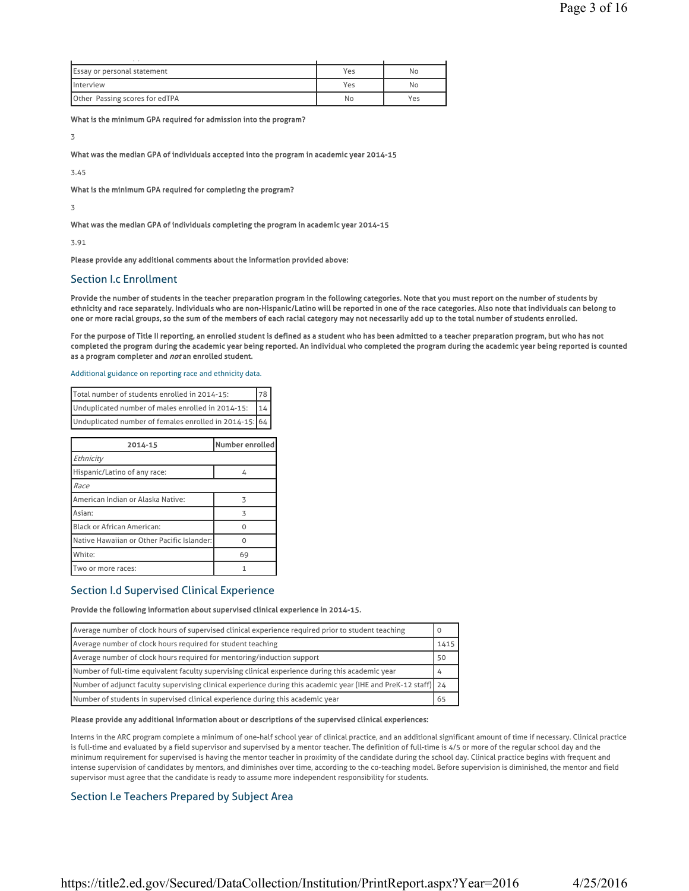| $\sim$ $\sim$                      |     |     |
|------------------------------------|-----|-----|
| <b>Essay or personal statement</b> | Yes | No  |
| <b>Interview</b>                   | Yes | No  |
| Other Passing scores for edTPA     | No  | Yes |

What is the minimum GPA required for admission into the program?

3

What was the median GPA of individuals accepted into the program in academic year 2014-15

3.45

What is the minimum GPA required for completing the program?

3

What was the median GPA of individuals completing the program in academic year 2014-15

3.91

Please provide any additional comments about the information provided above:

### Section I.c Enrollment

Provide the number of students in the teacher preparation program in the following categories. Note that you must report on the number of students by ethnicity and race separately. Individuals who are non-Hispanic/Latino will be reported in one of the race categories. Also note that individuals can belong to one or more racial groups, so the sum of the members of each racial category may not necessarily add up to the total number of students enrolled.

For the purpose of Title II reporting, an enrolled student is defined as a student who has been admitted to a teacher preparation program, but who has not completed the program during the academic year being reported. An individual who completed the program during the academic year being reported is counted as a program completer and not an enrolled student.

### Additional guidance on reporting race and ethnicity data.

| Total number of students enrolled in 2014-15:           | 178 |
|---------------------------------------------------------|-----|
| 14<br>Unduplicated number of males enrolled in 2014-15: |     |
| Unduplicated number of females enrolled in 2014-15: 64  |     |

| 2014-15                                    | Number enrolled |
|--------------------------------------------|-----------------|
| Ethnicity                                  |                 |
| Hispanic/Latino of any race:               | 4               |
| Race                                       |                 |
| American Indian or Alaska Native:          | 3               |
| Asian:                                     | 3               |
| <b>Black or African American:</b>          |                 |
| Native Hawaiian or Other Pacific Islander: |                 |
| White:                                     | 69              |
| Two or more races:                         |                 |

### Section I.d Supervised Clinical Experience

### Provide the following information about supervised clinical experience in 2014-15.

| Average number of clock hours of supervised clinical experience required prior to student teaching             |      |
|----------------------------------------------------------------------------------------------------------------|------|
| Average number of clock hours required for student teaching                                                    | 1415 |
| Average number of clock hours required for mentoring/induction support                                         | 50   |
| Number of full-time equivalent faculty supervising clinical experience during this academic year               |      |
| Number of adjunct faculty supervising clinical experience during this academic year (IHE and PreK-12 staff) 24 |      |
| Number of students in supervised clinical experience during this academic year                                 | 65   |

#### Please provide any additional information about or descriptions of the supervised clinical experiences:

Interns in the ARC program complete a minimum of one-half school year of clinical practice, and an additional significant amount of time if necessary. Clinical practice is full-time and evaluated by a field supervisor and supervised by a mentor teacher. The definition of full-time is 4/5 or more of the regular school day and the minimum requirement for supervised is having the mentor teacher in proximity of the candidate during the school day. Clinical practice begins with frequent and intense supervision of candidates by mentors, and diminishes over time, according to the co-teaching model. Before supervision is diminished, the mentor and field supervisor must agree that the candidate is ready to assume more independent responsibility for students.

### Section I.e Teachers Prepared by Subject Area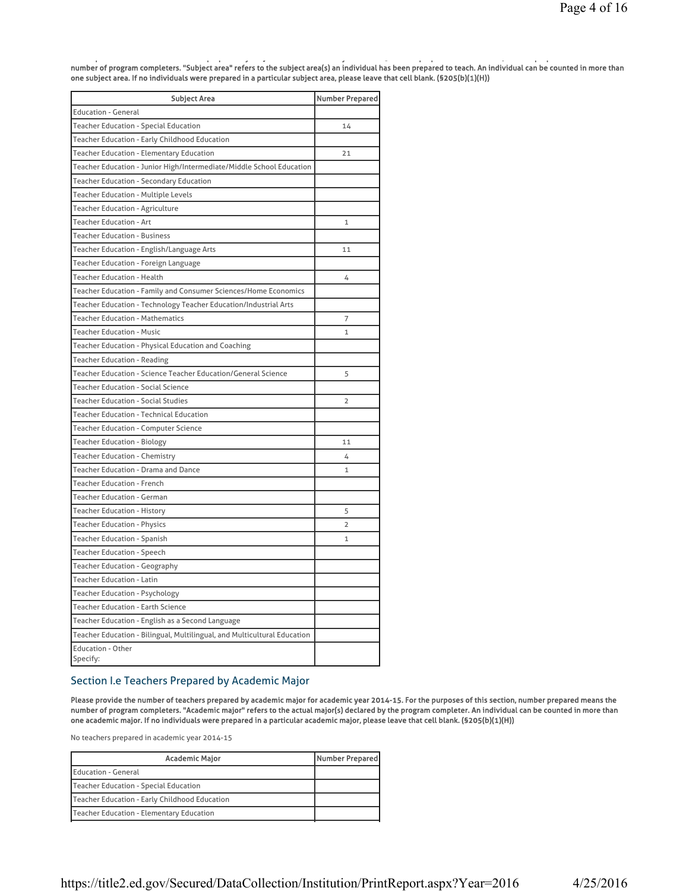p pp y j y 5 pp y 5 pp y 5 pp y 5 pp y 5 pp y 5 pp y 5 pp y 5 pp y 5 pp y 5 pp y 5 pp y 5 pp y 5 pp y 5 pp y 5 number of program completers. "Subject area" refers to the subject area(s) an individual has been prepared to teach. An individual can be counted in more than one subject area. If no individuals were prepared in a particular subject area, please leave that cell blank. (§205(b)(1)(H))

| <b>Subject Area</b>                                                      | <b>Number Prepared</b> |
|--------------------------------------------------------------------------|------------------------|
| <b>Education - General</b>                                               |                        |
| <b>Teacher Education - Special Education</b>                             | 14                     |
| Teacher Education - Early Childhood Education                            |                        |
| <b>Teacher Education - Elementary Education</b>                          | 21                     |
| Teacher Education - Junior High/Intermediate/Middle School Education     |                        |
| <b>Teacher Education - Secondary Education</b>                           |                        |
| <b>Teacher Education - Multiple Levels</b>                               |                        |
| Teacher Education - Agriculture                                          |                        |
| Teacher Education - Art                                                  | $\mathbf{1}$           |
| <b>Teacher Education - Business</b>                                      |                        |
| Teacher Education - English/Language Arts                                | 11                     |
| Teacher Education - Foreign Language                                     |                        |
| <b>Teacher Education - Health</b>                                        | 4                      |
| Teacher Education - Family and Consumer Sciences/Home Economics          |                        |
| Teacher Education - Technology Teacher Education/Industrial Arts         |                        |
| <b>Teacher Education - Mathematics</b>                                   | 7                      |
| <b>Teacher Education - Music</b>                                         | $\mathbf{1}$           |
| Teacher Education - Physical Education and Coaching                      |                        |
| <b>Teacher Education - Reading</b>                                       |                        |
| Teacher Education - Science Teacher Education/General Science            | 5                      |
| <b>Teacher Education - Social Science</b>                                |                        |
| <b>Teacher Education - Social Studies</b>                                | $\overline{2}$         |
| <b>Teacher Education - Technical Education</b>                           |                        |
| Teacher Education - Computer Science                                     |                        |
| Teacher Education - Biology                                              | 11                     |
| <b>Teacher Education - Chemistry</b>                                     | 4                      |
| Teacher Education - Drama and Dance                                      | $\mathbf{1}$           |
| <b>Teacher Education - French</b>                                        |                        |
| <b>Teacher Education - German</b>                                        |                        |
| <b>Teacher Education - History</b>                                       | 5                      |
| Teacher Education - Physics                                              | $\overline{2}$         |
| Teacher Education - Spanish                                              | 1                      |
| <b>Teacher Education - Speech</b>                                        |                        |
| Teacher Education - Geography                                            |                        |
| Teacher Education - Latin                                                |                        |
| Teacher Education - Psychology                                           |                        |
| <b>Teacher Education - Earth Science</b>                                 |                        |
| Teacher Education - English as a Second Language                         |                        |
| Teacher Education - Bilingual, Multilingual, and Multicultural Education |                        |
| <b>Education - Other</b><br>Specify:                                     |                        |

# Section I.e Teachers Prepared by Academic Major

Please provide the number of teachers prepared by academic major for academic year 2014-15. For the purposes of this section, number prepared means the number of program completers. "Academic major" refers to the actual major(s) declared by the program completer. An individual can be counted in more than one academic major. If no individuals were prepared in a particular academic major, please leave that cell blank. (§205(b)(1)(H))

No teachers prepared in academic year 2014-15

| <b>Academic Major</b>                         | Number Prepared |
|-----------------------------------------------|-----------------|
| Education - General                           |                 |
| Teacher Education - Special Education         |                 |
| Teacher Education - Early Childhood Education |                 |
| Teacher Education - Elementary Education      |                 |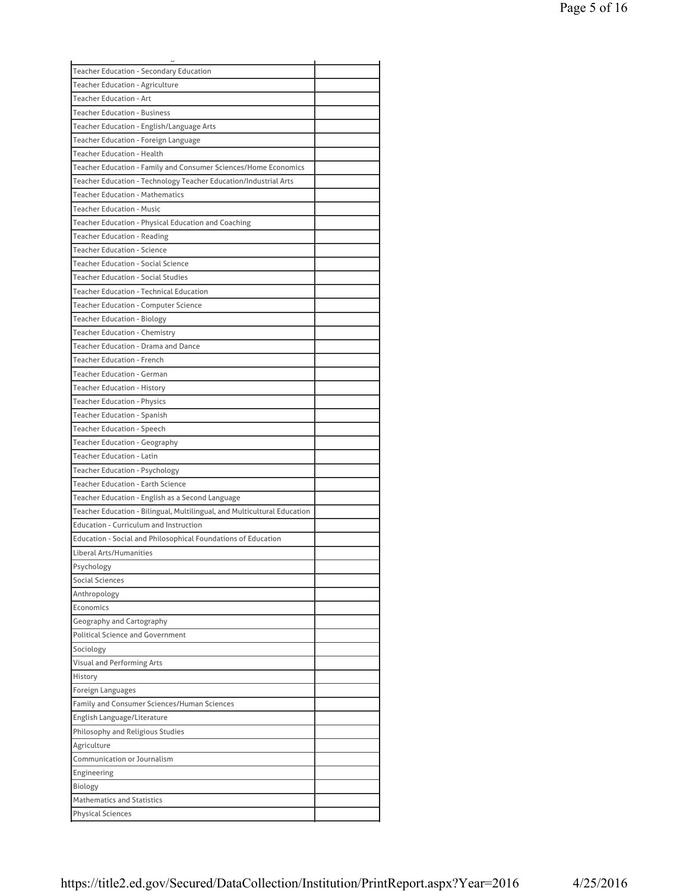| <b>Teacher Education - Secondary Education</b>                           |  |
|--------------------------------------------------------------------------|--|
| <b>Teacher Education - Agriculture</b>                                   |  |
| <b>Teacher Education - Art</b>                                           |  |
| <b>Teacher Education - Business</b>                                      |  |
| Teacher Education - English/Language Arts                                |  |
| Teacher Education - Foreign Language                                     |  |
| <b>Teacher Education - Health</b>                                        |  |
| Teacher Education - Family and Consumer Sciences/Home Economics          |  |
| Teacher Education - Technology Teacher Education/Industrial Arts         |  |
| <b>Teacher Education - Mathematics</b>                                   |  |
| <b>Teacher Education - Music</b>                                         |  |
| Teacher Education - Physical Education and Coaching                      |  |
| <b>Teacher Education - Reading</b>                                       |  |
| <b>Teacher Education - Science</b>                                       |  |
| <b>Teacher Education - Social Science</b>                                |  |
|                                                                          |  |
| <b>Teacher Education - Social Studies</b>                                |  |
| <b>Teacher Education - Technical Education</b>                           |  |
| <b>Teacher Education - Computer Science</b>                              |  |
| <b>Teacher Education - Biology</b>                                       |  |
| Teacher Education - Chemistry                                            |  |
| Teacher Education - Drama and Dance                                      |  |
| <b>Teacher Education - French</b>                                        |  |
| <b>Teacher Education - German</b>                                        |  |
| <b>Teacher Education - History</b>                                       |  |
| <b>Teacher Education - Physics</b>                                       |  |
| Teacher Education - Spanish                                              |  |
| Teacher Education - Speech                                               |  |
| Teacher Education - Geography                                            |  |
| <b>Teacher Education - Latin</b>                                         |  |
| <b>Teacher Education - Psychology</b>                                    |  |
| <b>Teacher Education - Earth Science</b>                                 |  |
| Teacher Education - English as a Second Language                         |  |
| Teacher Education - Bilingual, Multilingual, and Multicultural Education |  |
| <b>Education - Curriculum and Instruction</b>                            |  |
| Education - Social and Philosophical Foundations of Education            |  |
| Liberal Arts/Humanities                                                  |  |
|                                                                          |  |
| Psychology                                                               |  |
| Social Sciences                                                          |  |
| Anthropology                                                             |  |
| Economics                                                                |  |
| Geography and Cartography                                                |  |
| <b>Political Science and Government</b>                                  |  |
| Sociology                                                                |  |
| <b>Visual and Performing Arts</b>                                        |  |
| History                                                                  |  |
| Foreign Languages                                                        |  |
| Family and Consumer Sciences/Human Sciences                              |  |
| English Language/Literature                                              |  |
| Philosophy and Religious Studies                                         |  |
| Agriculture                                                              |  |
| Communication or Journalism                                              |  |
| Engineering                                                              |  |
| Biology                                                                  |  |
| <b>Mathematics and Statistics</b>                                        |  |
| Physical Sciences                                                        |  |
|                                                                          |  |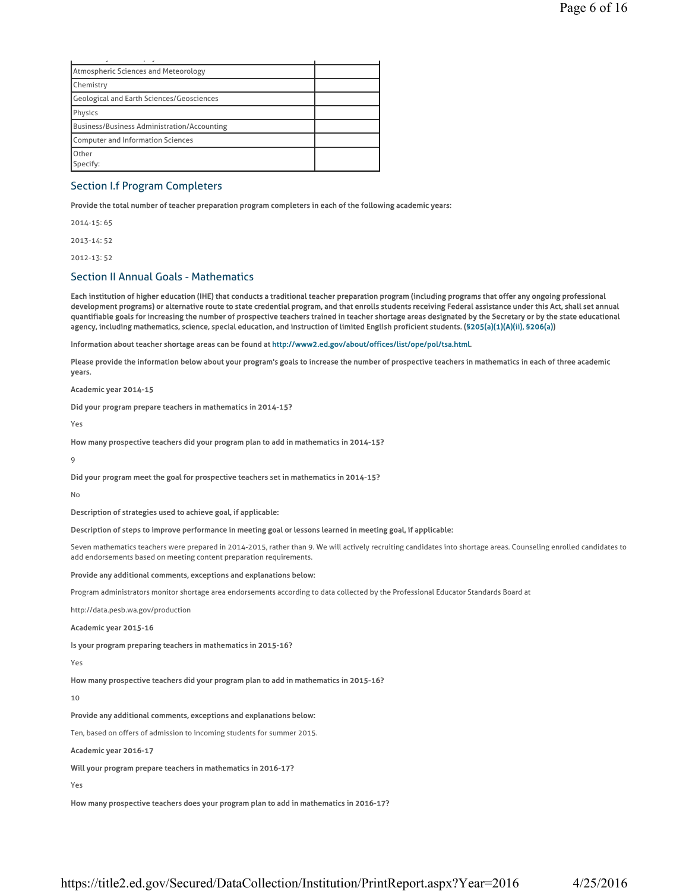| Atmospheric Sciences and Meteorology        |  |
|---------------------------------------------|--|
| Chemistry                                   |  |
| Geological and Earth Sciences/Geosciences   |  |
| Physics                                     |  |
| Business/Business Administration/Accounting |  |
| Computer and Information Sciences           |  |
| Other                                       |  |
| Specify:                                    |  |

### Section I.f Program Completers

Provide the total number of teacher preparation program completers in each of the following academic years:

2014-15: 65 2013-14: 52

2012-13: 52

### Section II Annual Goals - Mathematics

Each institution of higher education (IHE) that conducts a traditional teacher preparation program (including programs that offer any ongoing professional development programs) or alternative route to state credential program, and that enrolls students receiving Federal assistance under this Act, shall set annual quantifiable goals for increasing the number of prospective teachers trained in teacher shortage areas designated by the Secretary or by the state educational agency, including mathematics, science, special education, and instruction of limited English proficient students. (§205(a)(1)(A)(ii), §206(a))

Information about teacher shortage areas can be found at http://www2.ed.gov/about/offices/list/ope/pol/tsa.html.

Please provide the information below about your program's goals to increase the number of prospective teachers in mathematics in each of three academic years.

Academic year 2014-15

Did your program prepare teachers in mathematics in 2014-15?

Yes

How many prospective teachers did your program plan to add in mathematics in 2014-15?

9

Did your program meet the goal for prospective teachers set in mathematics in 2014-15?

No

Description of strategies used to achieve goal, if applicable:

#### Description of steps to improve performance in meeting goal or lessons learned in meeting goal, if applicable:

Seven mathematics teachers were prepared in 2014-2015, rather than 9. We will actively recruiting candidates into shortage areas. Counseling enrolled candidates to add endorsements based on meeting content preparation requirements.

#### Provide any additional comments, exceptions and explanations below:

Program administrators monitor shortage area endorsements according to data collected by the Professional Educator Standards Board at

http://data.pesb.wa.gov/production

Academic year 2015-16

Is your program preparing teachers in mathematics in 2015-16?

Yes

How many prospective teachers did your program plan to add in mathematics in 2015-16?

10

#### Provide any additional comments, exceptions and explanations below:

Ten, based on offers of admission to incoming students for summer 2015.

#### Academic year 2016-17

Will your program prepare teachers in mathematics in 2016-17?

Yes

How many prospective teachers does your program plan to add in mathematics in 2016-17?

https://title2.ed.gov/Secured/DataCollection/Institution/PrintReport.aspx?Year=2016 4/25/2016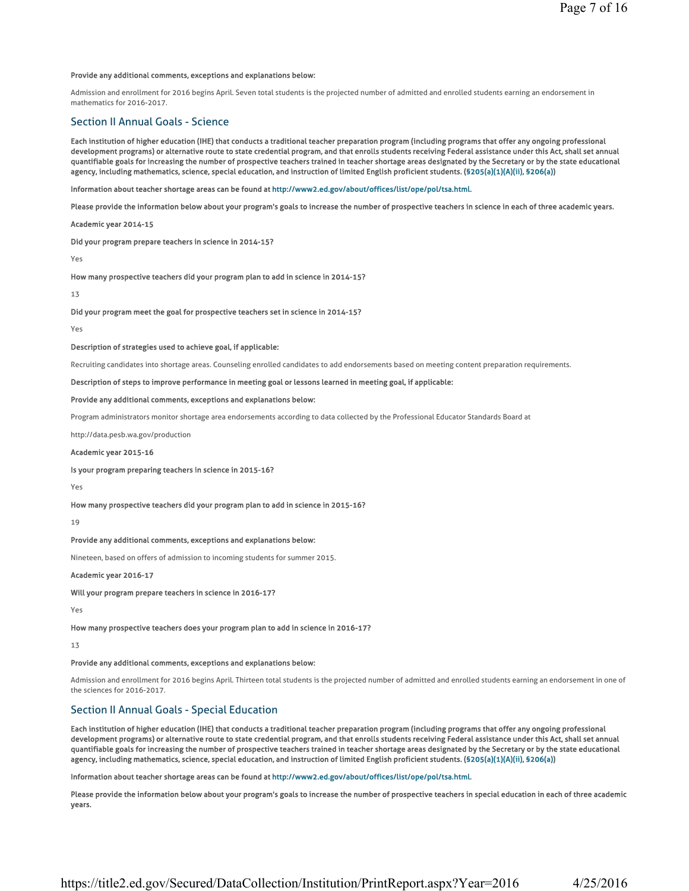#### Provide any additional comments, exceptions and explanations below:

Admission and enrollment for 2016 begins April. Seven total students is the projected number of admitted and enrolled students earning an endorsement in mathematics for 2016-2017.

### Section II Annual Goals - Science

Each institution of higher education (IHE) that conducts a traditional teacher preparation program (including programs that offer any ongoing professional development programs) or alternative route to state credential program, and that enrolls students receiving Federal assistance under this Act, shall set annual quantifiable goals for increasing the number of prospective teachers trained in teacher shortage areas designated by the Secretary or by the state educational agency, including mathematics, science, special education, and instruction of limited English proficient students. (§205(a)(1)(A)(ii), §206(a))

Information about teacher shortage areas can be found at http://www2.ed.gov/about/offices/list/ope/pol/tsa.html.

Please provide the information below about your program's goals to increase the number of prospective teachers in science in each of three academic years.

Academic year 2014-15

Did your program prepare teachers in science in 2014-15?

Yes

How many prospective teachers did your program plan to add in science in 2014-15?

13

Did your program meet the goal for prospective teachers set in science in 2014-15?

Yes

#### Description of strategies used to achieve goal, if applicable:

Recruiting candidates into shortage areas. Counseling enrolled candidates to add endorsements based on meeting content preparation requirements.

#### Description of steps to improve performance in meeting goal or lessons learned in meeting goal, if applicable:

#### Provide any additional comments, exceptions and explanations below:

Program administrators monitor shortage area endorsements according to data collected by the Professional Educator Standards Board at

http://data.pesb.wa.gov/production

#### Academic year 2015-16

Is your program preparing teachers in science in 2015-16?

Yes

How many prospective teachers did your program plan to add in science in 2015-16?

19

#### Provide any additional comments, exceptions and explanations below:

Nineteen, based on offers of admission to incoming students for summer 2015.

Academic year 2016-17

Will your program prepare teachers in science in 2016-17?

Yes

How many prospective teachers does your program plan to add in science in 2016-17?

13

#### Provide any additional comments, exceptions and explanations below:

Admission and enrollment for 2016 begins April. Thirteen total students is the projected number of admitted and enrolled students earning an endorsement in one of the sciences for 2016-2017.

### Section II Annual Goals - Special Education

Each institution of higher education (IHE) that conducts a traditional teacher preparation program (including programs that offer any ongoing professional development programs) or alternative route to state credential program, and that enrolls students receiving Federal assistance under this Act, shall set annual quantifiable goals for increasing the number of prospective teachers trained in teacher shortage areas designated by the Secretary or by the state educational agency, including mathematics, science, special education, and instruction of limited English proficient students. (§205(a)(1)(A)(ii), §206(a))

Information about teacher shortage areas can be found at http://www2.ed.gov/about/offices/list/ope/pol/tsa.html.

Please provide the information below about your program's goals to increase the number of prospective teachers in special education in each of three academic years.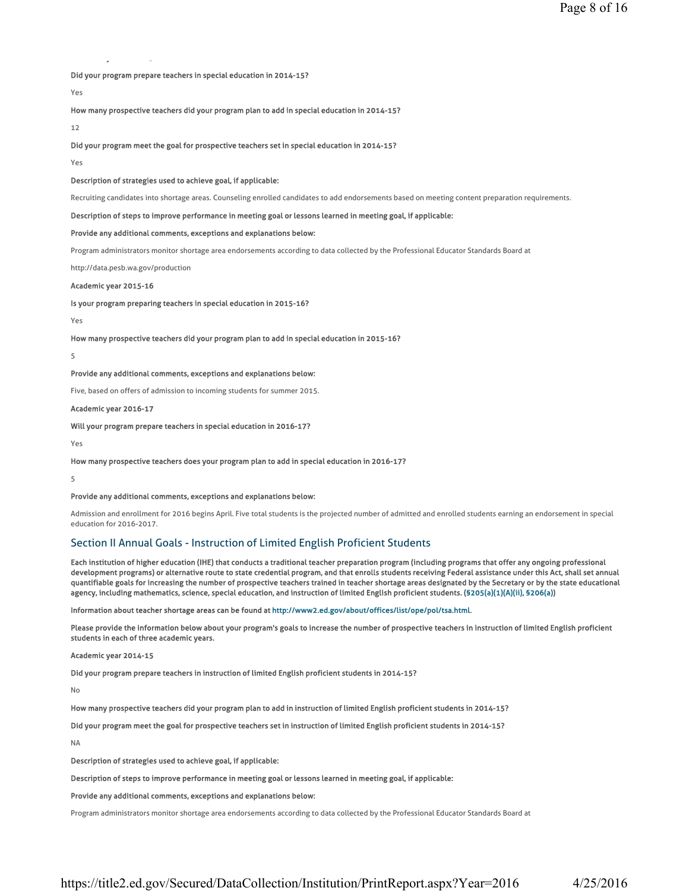Did your program prepare teachers in special education in 2014-15?

Yes

How many prospective teachers did your program plan to add in special education in 2014-15?

12

Did your program meet the goal for prospective teachers set in special education in 2014-15?

Yes

Description of strategies used to achieve goal, if applicable:

Recruiting candidates into shortage areas. Counseling enrolled candidates to add endorsements based on meeting content preparation requirements.

Description of steps to improve performance in meeting goal or lessons learned in meeting goal, if applicable:

Provide any additional comments, exceptions and explanations below:

Program administrators monitor shortage area endorsements according to data collected by the Professional Educator Standards Board at

http://data.pesb.wa.gov/production

y 5

Academic year 2015-16

Is your program preparing teachers in special education in 2015-16?

Yes

How many prospective teachers did your program plan to add in special education in 2015-16?

5

Provide any additional comments, exceptions and explanations below:

Five, based on offers of admission to incoming students for summer 2015.

Academic year 2016-17

Will your program prepare teachers in special education in 2016-17?

Yes

How many prospective teachers does your program plan to add in special education in 2016-17?

5

#### Provide any additional comments, exceptions and explanations below:

Admission and enrollment for 2016 begins April. Five total students is the projected number of admitted and enrolled students earning an endorsement in special education for 2016-2017.

### Section II Annual Goals - Instruction of Limited English Proficient Students

Each institution of higher education (IHE) that conducts a traditional teacher preparation program (including programs that offer any ongoing professional development programs) or alternative route to state credential program, and that enrolls students receiving Federal assistance under this Act, shall set annual quantifiable goals for increasing the number of prospective teachers trained in teacher shortage areas designated by the Secretary or by the state educational agency, including mathematics, science, special education, and instruction of limited English proficient students. (§205(a)(1)(A)(ii), §206(a))

Information about teacher shortage areas can be found at http://www2.ed.gov/about/offices/list/ope/pol/tsa.html.

Please provide the information below about your program's goals to increase the number of prospective teachers in instruction of limited English proficient students in each of three academic years.

Academic year 2014-15

Did your program prepare teachers in instruction of limited English proficient students in 2014-15?

No

How many prospective teachers did your program plan to add in instruction of limited English proficient students in 2014-15?

Did your program meet the goal for prospective teachers set in instruction of limited English proficient students in 2014-15?

NA

Description of strategies used to achieve goal, if applicable:

Description of steps to improve performance in meeting goal or lessons learned in meeting goal, if applicable:

Provide any additional comments, exceptions and explanations below:

Program administrators monitor shortage area endorsements according to data collected by the Professional Educator Standards Board at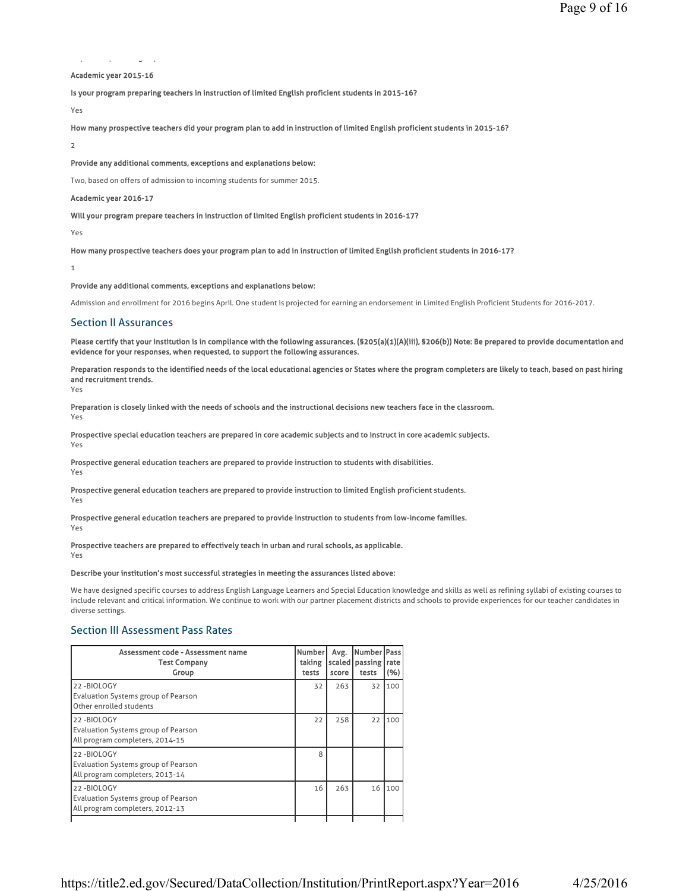# p p gp

### Academic year 2015-16

Is your program preparing teachers in instruction of limited English proficient students in 2015-16?

Yes

How many prospective teachers did your program plan to add in instruction of limited English proficient students in 2015-16?

2

Provide any additional comments, exceptions and explanations below:

Two, based on offers of admission to incoming students for summer 2015.

#### Academic year 2016-17

Will your program prepare teachers in instruction of limited English proficient students in 2016-17?

Yes

How many prospective teachers does your program plan to add in instruction of limited English proficient students in 2016-17?

1

#### Provide any additional comments, exceptions and explanations below:

Admission and enrollment for 2016 begins April. One student is projected for earning an endorsement in Limited English Proficient Students for 2016-2017.

#### Section II Assurances

Please certify that your institution is in compliance with the following assurances. (§205(a)(1)(A)(iii), §206(b)) Note: Be prepared to provide documentation and evidence for your responses, when requested, to support the following assurances.

Preparation responds to the identified needs of the local educational agencies or States where the program completers are likely to teach, based on past hiring and recruitment trends. Yes

Preparation is closely linked with the needs of schools and the instructional decisions new teachers face in the classroom. Yes

Prospective special education teachers are prepared in core academic subjects and to instruct in core academic subjects. Yes

Prospective general education teachers are prepared to provide instruction to students with disabilities.

Yes

Prospective general education teachers are prepared to provide instruction to limited English proficient students. Yes

Prospective general education teachers are prepared to provide instruction to students from low-income families.

Yes

Prospective teachers are prepared to effectively teach in urban and rural schools, as applicable. Yes

### Describe your institution's most successful strategies in meeting the assurances listed above:

We have designed specific courses to address English Language Learners and Special Education knowledge and skills as well as refining syllabi of existing courses to include relevant and critical information. We continue to work with our partner placement districts and schools to provide experiences for our teacher candidates in diverse settings.

### Section III Assessment Pass Rates

| Assessment code - Assessment name<br><b>Test Company</b><br>Group                           | <b>Number</b><br>taking<br>tests | Avg.<br>score | Number   Pass<br>scaled   passing  <br>tests | rate<br>(%) |
|---------------------------------------------------------------------------------------------|----------------------------------|---------------|----------------------------------------------|-------------|
| 22-BIOLOGY<br>Evaluation Systems group of Pearson<br>Other enrolled students                | 32                               | 263           | 32                                           | 100         |
| 22-BIOLOGY<br>Evaluation Systems group of Pearson<br>All program completers, 2014-15        | 22                               | 258           | 22                                           | 100         |
| 22-BIOLOGY<br><b>Evaluation Systems group of Pearson</b><br>All program completers, 2013-14 | 8                                |               |                                              |             |
| 22-BIOLOGY<br>Evaluation Systems group of Pearson<br>All program completers, 2012-13        | 16                               | 263           | 16                                           | 100         |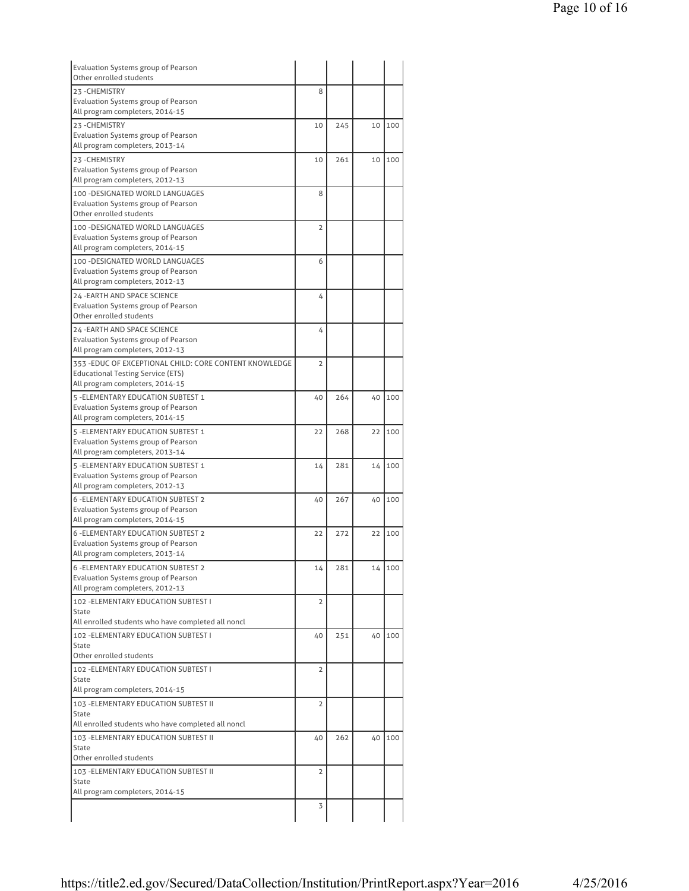| Evaluation Systems group of Pearson                                         |                |     |    |        |
|-----------------------------------------------------------------------------|----------------|-----|----|--------|
| Other enrolled students                                                     |                |     |    |        |
| 23-CHEMISTRY<br><b>Evaluation Systems group of Pearson</b>                  | 8              |     |    |        |
| All program completers, 2014-15                                             |                |     |    |        |
| 23-CHEMISTRY                                                                | 10             | 245 | 10 | 100    |
| Evaluation Systems group of Pearson                                         |                |     |    |        |
| All program completers, 2013-14                                             |                |     |    |        |
| 23-CHEMISTRY                                                                | 10             | 261 | 10 | 100    |
| Evaluation Systems group of Pearson                                         |                |     |    |        |
| All program completers, 2012-13<br>100 - DESIGNATED WORLD LANGUAGES         | 8              |     |    |        |
| <b>Evaluation Systems group of Pearson</b>                                  |                |     |    |        |
| Other enrolled students                                                     |                |     |    |        |
| 100 - DESIGNATED WORLD LANGUAGES                                            | $\overline{2}$ |     |    |        |
| Evaluation Systems group of Pearson                                         |                |     |    |        |
| All program completers, 2014-15                                             |                |     |    |        |
| 100 - DESIGNATED WORLD LANGUAGES                                            | 6              |     |    |        |
| Evaluation Systems group of Pearson<br>All program completers, 2012-13      |                |     |    |        |
| 24 - EARTH AND SPACE SCIENCE                                                | 4              |     |    |        |
| Evaluation Systems group of Pearson                                         |                |     |    |        |
| Other enrolled students                                                     |                |     |    |        |
| <b>24 - EARTH AND SPACE SCIENCE</b>                                         | 4              |     |    |        |
| Evaluation Systems group of Pearson                                         |                |     |    |        |
| All program completers, 2012-13                                             |                |     |    |        |
| 353 - EDUC OF EXCEPTIONAL CHILD: CORE CONTENT KNOWLEDGE                     | $\overline{2}$ |     |    |        |
| <b>Educational Testing Service (ETS)</b><br>All program completers, 2014-15 |                |     |    |        |
| 5 - ELEMENTARY EDUCATION SUBTEST 1                                          |                | 264 | 40 | 100    |
| Evaluation Systems group of Pearson                                         | 40             |     |    |        |
| All program completers, 2014-15                                             |                |     |    |        |
| 5 - ELEMENTARY EDUCATION SUBTEST 1                                          | 22             | 268 | 22 | 100    |
| Evaluation Systems group of Pearson                                         |                |     |    |        |
| All program completers, 2013-14                                             |                |     |    |        |
| 5 - ELEMENTARY EDUCATION SUBTEST 1                                          | 14             | 281 | 14 | 100    |
| Evaluation Systems group of Pearson<br>All program completers, 2012-13      |                |     |    |        |
| <b>6 - ELEMENTARY EDUCATION SUBTEST 2</b>                                   | 40             | 267 | 40 | 100    |
| Evaluation Systems group of Pearson                                         |                |     |    |        |
| All program completers, 2014-15                                             |                |     |    |        |
| <b>6 - ELEMENTARY EDUCATION SUBTEST 2</b>                                   | 22             | 272 | 22 | 100    |
| <b>Evaluation Systems group of Pearson</b>                                  |                |     |    |        |
| All program completers, 2013-14                                             |                |     |    |        |
| <b>6 - ELEMENTARY EDUCATION SUBTEST 2</b>                                   | 14             | 281 |    | 14 100 |
| Evaluation Systems group of Pearson<br>All program completers, 2012-13      |                |     |    |        |
| 102 - ELEMENTARY EDUCATION SUBTEST I                                        | $\overline{2}$ |     |    |        |
| State                                                                       |                |     |    |        |
| All enrolled students who have completed all noncl                          |                |     |    |        |
| 102 - ELEMENTARY EDUCATION SUBTEST I                                        | 40             | 251 | 40 | 100    |
| State                                                                       |                |     |    |        |
| Other enrolled students                                                     |                |     |    |        |
| 102 - ELEMENTARY EDUCATION SUBTEST I<br>State                               | 2              |     |    |        |
| All program completers, 2014-15                                             |                |     |    |        |
| 103 - ELEMENTARY EDUCATION SUBTEST II                                       | 2              |     |    |        |
| State                                                                       |                |     |    |        |
| All enrolled students who have completed all noncl                          |                |     |    |        |
| 103 - ELEMENTARY EDUCATION SUBTEST II                                       | 40             | 262 | 40 | 100    |
| <b>State</b>                                                                |                |     |    |        |
| Other enrolled students                                                     |                |     |    |        |
| 103 - ELEMENTARY EDUCATION SUBTEST II<br>State                              | 2              |     |    |        |
| All program completers, 2014-15                                             |                |     |    |        |
|                                                                             | 3              |     |    |        |
|                                                                             |                |     |    |        |
|                                                                             |                |     |    |        |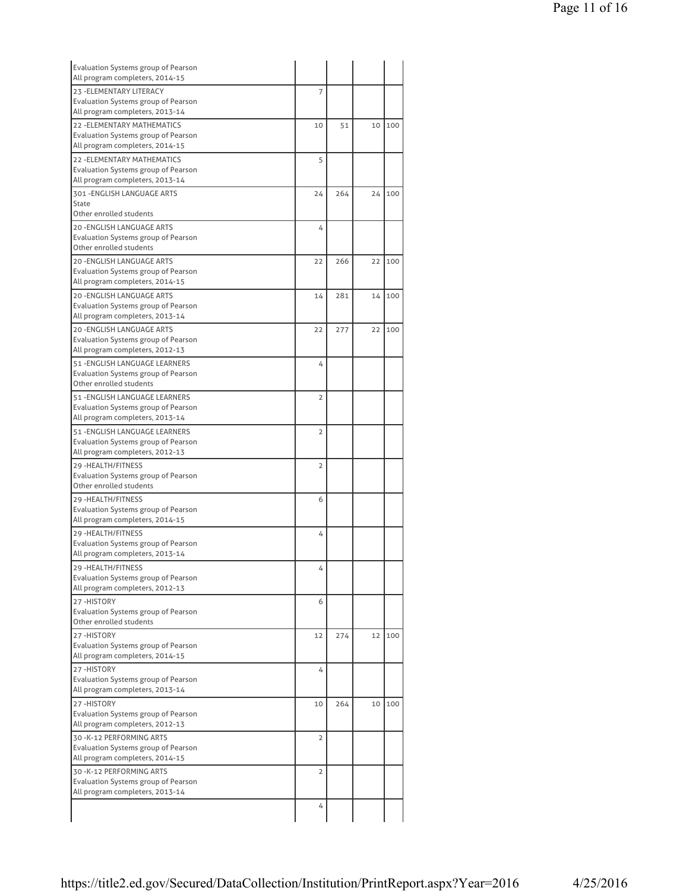| Evaluation Systems group of Pearson<br>All program completers, 2014-15 |                |     |    |     |
|------------------------------------------------------------------------|----------------|-----|----|-----|
| 23 - ELEMENTARY LITERACY                                               | 7              |     |    |     |
| Evaluation Systems group of Pearson                                    |                |     |    |     |
| All program completers, 2013-14                                        |                |     |    |     |
| <b>22 - ELEMENTARY MATHEMATICS</b>                                     | 10             | 51  | 10 | 100 |
| <b>Evaluation Systems group of Pearson</b>                             |                |     |    |     |
| All program completers, 2014-15                                        |                |     |    |     |
| <b>22 - ELEMENTARY MATHEMATICS</b>                                     | 5              |     |    |     |
| Evaluation Systems group of Pearson                                    |                |     |    |     |
| All program completers, 2013-14                                        |                |     |    |     |
| 301 - ENGLISH LANGUAGE ARTS                                            | 24             | 264 | 24 | 100 |
| State                                                                  |                |     |    |     |
| Other enrolled students                                                |                |     |    |     |
| <b>20 -ENGLISH LANGUAGE ARTS</b>                                       | 4              |     |    |     |
| Evaluation Systems group of Pearson                                    |                |     |    |     |
| Other enrolled students                                                |                |     |    |     |
| <b>20 -ENGLISH LANGUAGE ARTS</b>                                       | 22             | 266 | 22 | 100 |
| Evaluation Systems group of Pearson                                    |                |     |    |     |
| All program completers, 2014-15                                        |                |     |    |     |
| 20 - ENGLISH LANGUAGE ARTS                                             | 14             | 281 | 14 | 100 |
| Evaluation Systems group of Pearson                                    |                |     |    |     |
| All program completers, 2013-14                                        |                |     |    |     |
| <b>20 -ENGLISH LANGUAGE ARTS</b>                                       | 22             | 277 | 22 | 100 |
| Evaluation Systems group of Pearson                                    |                |     |    |     |
| All program completers, 2012-13                                        |                |     |    |     |
| 51 - ENGLISH LANGUAGE LEARNERS                                         | 4              |     |    |     |
| Evaluation Systems group of Pearson                                    |                |     |    |     |
| Other enrolled students                                                |                |     |    |     |
| 51 - ENGLISH LANGUAGE LEARNERS                                         | 2              |     |    |     |
| Evaluation Systems group of Pearson                                    |                |     |    |     |
| All program completers, 2013-14                                        |                |     |    |     |
| 51 - ENGLISH LANGUAGE LEARNERS                                         | 2              |     |    |     |
| Evaluation Systems group of Pearson                                    |                |     |    |     |
| All program completers, 2012-13                                        |                |     |    |     |
| 29 - HEALTH/FITNESS                                                    | 2              |     |    |     |
| Evaluation Systems group of Pearson                                    |                |     |    |     |
| Other enrolled students                                                |                |     |    |     |
| 29 - HEALTH/FITNESS                                                    | 6              |     |    |     |
| <b>Evaluation Systems group of Pearson</b>                             |                |     |    |     |
| All program completers, 2014-15                                        |                |     |    |     |
| 29 - HEALTH/FITNESS                                                    | 4              |     |    |     |
| Evaluation Systems group of Pearson                                    |                |     |    |     |
| All program completers, 2013-14                                        |                |     |    |     |
| 29-HEALTH/FITNESS                                                      | 4              |     |    |     |
| Evaluation Systems group of Pearson                                    |                |     |    |     |
| All program completers, 2012-13                                        |                |     |    |     |
| 27-HISTORY                                                             | 6              |     |    |     |
| Evaluation Systems group of Pearson                                    |                |     |    |     |
| Other enrolled students                                                |                |     |    |     |
| 27-HISTORY                                                             | 12             | 274 | 12 | 100 |
| Evaluation Systems group of Pearson                                    |                |     |    |     |
| All program completers, 2014-15                                        |                |     |    |     |
| 27-HISTORY                                                             | 4              |     |    |     |
| Evaluation Systems group of Pearson                                    |                |     |    |     |
| All program completers, 2013-14                                        |                |     |    |     |
| 27-HISTORY                                                             | 10             | 264 | 10 | 100 |
| Evaluation Systems group of Pearson                                    |                |     |    |     |
| All program completers, 2012-13                                        |                |     |    |     |
| 30 - K-12 PERFORMING ARTS                                              | $\overline{2}$ |     |    |     |
| Evaluation Systems group of Pearson                                    |                |     |    |     |
| All program completers, 2014-15                                        |                |     |    |     |
| 30 - K-12 PERFORMING ARTS                                              | 2              |     |    |     |
| Evaluation Systems group of Pearson                                    |                |     |    |     |
| All program completers, 2013-14                                        |                |     |    |     |
|                                                                        |                |     |    |     |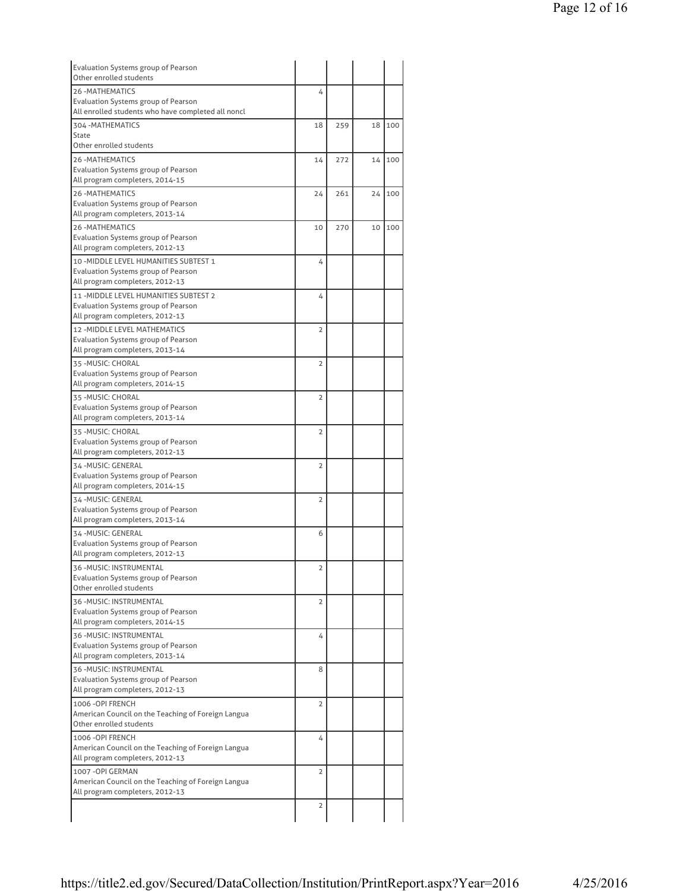| Evaluation Systems group of Pearson<br>Other enrolled students                        |                |     |    |     |
|---------------------------------------------------------------------------------------|----------------|-----|----|-----|
| <b>26-MATHEMATICS</b>                                                                 | 4              |     |    |     |
| <b>Evaluation Systems group of Pearson</b>                                            |                |     |    |     |
| All enrolled students who have completed all noncl                                    |                |     |    |     |
| 304 - MATHEMATICS<br><b>State</b>                                                     | 18             | 259 | 18 | 100 |
| Other enrolled students                                                               |                |     |    |     |
| <b>26-MATHEMATICS</b>                                                                 | 14             | 272 | 14 | 100 |
| <b>Evaluation Systems group of Pearson</b>                                            |                |     |    |     |
| All program completers, 2014-15                                                       |                |     |    |     |
| <b>26-MATHEMATICS</b>                                                                 | 24             | 261 | 24 | 100 |
| <b>Evaluation Systems group of Pearson</b><br>All program completers, 2013-14         |                |     |    |     |
| <b>26-MATHEMATICS</b>                                                                 | 10             |     | 10 | 100 |
| <b>Evaluation Systems group of Pearson</b>                                            |                | 270 |    |     |
| All program completers, 2012-13                                                       |                |     |    |     |
| 10 - MIDDLE LEVEL HUMANITIES SUBTEST 1                                                | 4              |     |    |     |
| Evaluation Systems group of Pearson                                                   |                |     |    |     |
| All program completers, 2012-13                                                       |                |     |    |     |
| 11-MIDDLE LEVEL HUMANITIES SUBTEST 2                                                  | 4              |     |    |     |
| Evaluation Systems group of Pearson<br>All program completers, 2012-13                |                |     |    |     |
| 12 - MIDDLE LEVEL MATHEMATICS                                                         | $\overline{2}$ |     |    |     |
| Evaluation Systems group of Pearson                                                   |                |     |    |     |
| All program completers, 2013-14                                                       |                |     |    |     |
| 35 - MUSIC: CHORAL                                                                    | $\overline{2}$ |     |    |     |
| <b>Evaluation Systems group of Pearson</b>                                            |                |     |    |     |
| All program completers, 2014-15                                                       |                |     |    |     |
| 35 - MUSIC: CHORAL<br>Evaluation Systems group of Pearson                             | $\overline{2}$ |     |    |     |
| All program completers, 2013-14                                                       |                |     |    |     |
| 35 - MUSIC: CHORAL                                                                    | $\overline{2}$ |     |    |     |
| Evaluation Systems group of Pearson                                                   |                |     |    |     |
| All program completers, 2012-13                                                       |                |     |    |     |
| 34 - MUSIC: GENERAL                                                                   | $\overline{2}$ |     |    |     |
| Evaluation Systems group of Pearson<br>All program completers, 2014-15                |                |     |    |     |
| 34 - MUSIC: GENERAL                                                                   | $\overline{2}$ |     |    |     |
| Evaluation Systems group of Pearson                                                   |                |     |    |     |
| All program completers, 2013-14                                                       |                |     |    |     |
| 34-MUSIC: GENERAL                                                                     | 6              |     |    |     |
| Evaluation Systems group of Pearson                                                   |                |     |    |     |
| All program completers, 2012-13                                                       |                |     |    |     |
| 36 - MUSIC: INSTRUMENTAL<br>Evaluation Systems group of Pearson                       | 2              |     |    |     |
| Other enrolled students                                                               |                |     |    |     |
| 36 - MUSIC: INSTRUMENTAL                                                              | $\overline{2}$ |     |    |     |
| Evaluation Systems group of Pearson                                                   |                |     |    |     |
| All program completers, 2014-15                                                       |                |     |    |     |
| 36 - MUSIC: INSTRUMENTAL                                                              | 4              |     |    |     |
| Evaluation Systems group of Pearson                                                   |                |     |    |     |
| All program completers, 2013-14                                                       |                |     |    |     |
| 36 - MUSIC: INSTRUMENTAL<br>Evaluation Systems group of Pearson                       | 8              |     |    |     |
| All program completers, 2012-13                                                       |                |     |    |     |
| 1006 - OPI FRENCH                                                                     | $\overline{2}$ |     |    |     |
| American Council on the Teaching of Foreign Langua                                    |                |     |    |     |
| Other enrolled students                                                               |                |     |    |     |
| 1006 - OPI FRENCH                                                                     | 4              |     |    |     |
| American Council on the Teaching of Foreign Langua<br>All program completers, 2012-13 |                |     |    |     |
| 1007 - OPI GERMAN                                                                     | $\overline{2}$ |     |    |     |
| American Council on the Teaching of Foreign Langua                                    |                |     |    |     |
| All program completers, 2012-13                                                       |                |     |    |     |
|                                                                                       | $\overline{2}$ |     |    |     |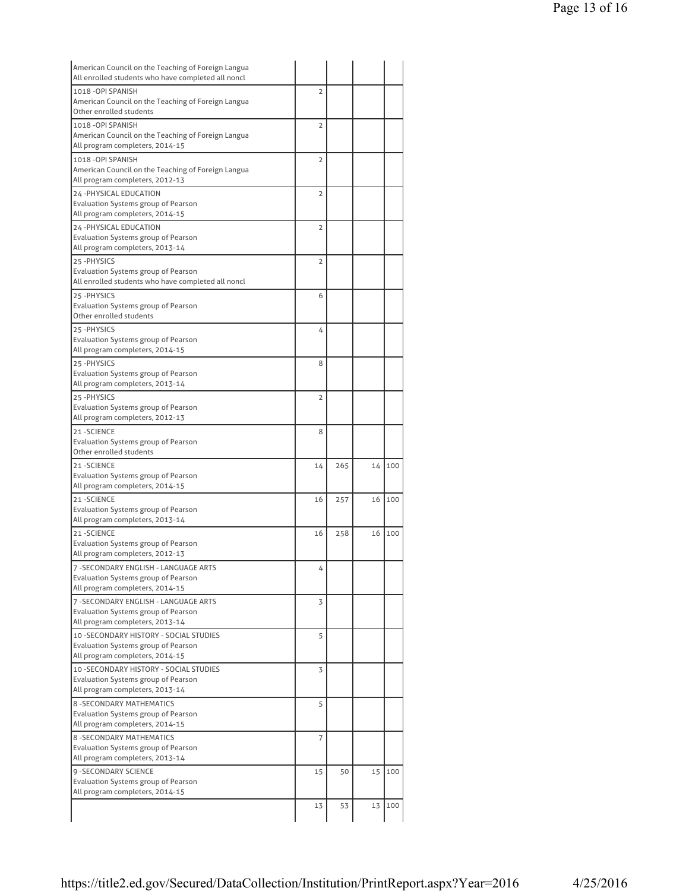| American Council on the Teaching of Foreign Langua<br>All enrolled students who have completed all noncl |                |     |    |     |
|----------------------------------------------------------------------------------------------------------|----------------|-----|----|-----|
| 1018 - OPI SPANISH                                                                                       | $\overline{2}$ |     |    |     |
| American Council on the Teaching of Foreign Langua                                                       |                |     |    |     |
| Other enrolled students                                                                                  |                |     |    |     |
| 1018-OPI SPANISH                                                                                         | $\overline{2}$ |     |    |     |
| American Council on the Teaching of Foreign Langua                                                       |                |     |    |     |
| All program completers, 2014-15                                                                          |                |     |    |     |
|                                                                                                          |                |     |    |     |
| 1018 - OPI SPANISH                                                                                       | $\overline{2}$ |     |    |     |
| American Council on the Teaching of Foreign Langua                                                       |                |     |    |     |
| All program completers, 2012-13                                                                          |                |     |    |     |
| 24 - PHYSICAL EDUCATION                                                                                  | $\overline{2}$ |     |    |     |
| <b>Evaluation Systems group of Pearson</b>                                                               |                |     |    |     |
| All program completers, 2014-15                                                                          |                |     |    |     |
| 24 - PHYSICAL EDUCATION                                                                                  | 2              |     |    |     |
| Evaluation Systems group of Pearson                                                                      |                |     |    |     |
| All program completers, 2013-14                                                                          |                |     |    |     |
| 25-PHYSICS                                                                                               | 2              |     |    |     |
| Evaluation Systems group of Pearson                                                                      |                |     |    |     |
| All enrolled students who have completed all noncl                                                       |                |     |    |     |
| 25-PHYSICS                                                                                               | 6              |     |    |     |
| <b>Evaluation Systems group of Pearson</b>                                                               |                |     |    |     |
| Other enrolled students                                                                                  |                |     |    |     |
|                                                                                                          |                |     |    |     |
| 25-PHYSICS                                                                                               | 4              |     |    |     |
| <b>Evaluation Systems group of Pearson</b>                                                               |                |     |    |     |
| All program completers, 2014-15                                                                          |                |     |    |     |
| 25-PHYSICS                                                                                               | 8              |     |    |     |
| Evaluation Systems group of Pearson                                                                      |                |     |    |     |
| All program completers, 2013-14                                                                          |                |     |    |     |
| 25-PHYSICS                                                                                               | $\overline{2}$ |     |    |     |
| Evaluation Systems group of Pearson                                                                      |                |     |    |     |
| All program completers, 2012-13                                                                          |                |     |    |     |
| 21-SCIENCE                                                                                               | 8              |     |    |     |
| Evaluation Systems group of Pearson                                                                      |                |     |    |     |
| Other enrolled students                                                                                  |                |     |    |     |
| 21-SCIENCE                                                                                               | 14             | 265 | 14 | 100 |
| Evaluation Systems group of Pearson                                                                      |                |     |    |     |
| All program completers, 2014-15                                                                          |                |     |    |     |
|                                                                                                          |                |     |    |     |
| 21-SCIENCE                                                                                               | 16             | 257 | 16 | 100 |
| <b>Evaluation Systems group of Pearson</b>                                                               |                |     |    |     |
| All program completers, 2013-14                                                                          |                |     |    |     |
| 21-SCIENCE                                                                                               | 16             | 258 | 16 | 100 |
| Evaluation Systems group of Pearson                                                                      |                |     |    |     |
| All program completers, 2012-13                                                                          |                |     |    |     |
| 7 - SECONDARY ENGLISH - LANGUAGE ARTS                                                                    | 4              |     |    |     |
| <b>Evaluation Systems group of Pearson</b>                                                               |                |     |    |     |
| All program completers, 2014-15                                                                          |                |     |    |     |
| 7 - SECONDARY ENGLISH - LANGUAGE ARTS                                                                    | 3              |     |    |     |
| Evaluation Systems group of Pearson                                                                      |                |     |    |     |
| All program completers, 2013-14                                                                          |                |     |    |     |
|                                                                                                          |                |     |    |     |
| 10 - SECONDARY HISTORY - SOCIAL STUDIES                                                                  | 5              |     |    |     |
| Evaluation Systems group of Pearson                                                                      |                |     |    |     |
| All program completers, 2014-15                                                                          |                |     |    |     |
| 10 - SECONDARY HISTORY - SOCIAL STUDIES                                                                  | 3              |     |    |     |
| Evaluation Systems group of Pearson                                                                      |                |     |    |     |
| All program completers, 2013-14                                                                          |                |     |    |     |
| 8 - SECONDARY MATHEMATICS                                                                                | 5              |     |    |     |
| Evaluation Systems group of Pearson                                                                      |                |     |    |     |
| All program completers, 2014-15                                                                          |                |     |    |     |
| <b>8 - SECONDARY MATHEMATICS</b>                                                                         | 7              |     |    |     |
| Evaluation Systems group of Pearson                                                                      |                |     |    |     |
| All program completers, 2013-14                                                                          |                |     |    |     |
|                                                                                                          |                |     |    |     |
|                                                                                                          | 15             | 50  | 15 | 100 |
| 9 - SECONDARY SCIENCE                                                                                    |                |     |    |     |
| Evaluation Systems group of Pearson                                                                      |                |     |    |     |
| All program completers, 2014-15                                                                          |                |     |    |     |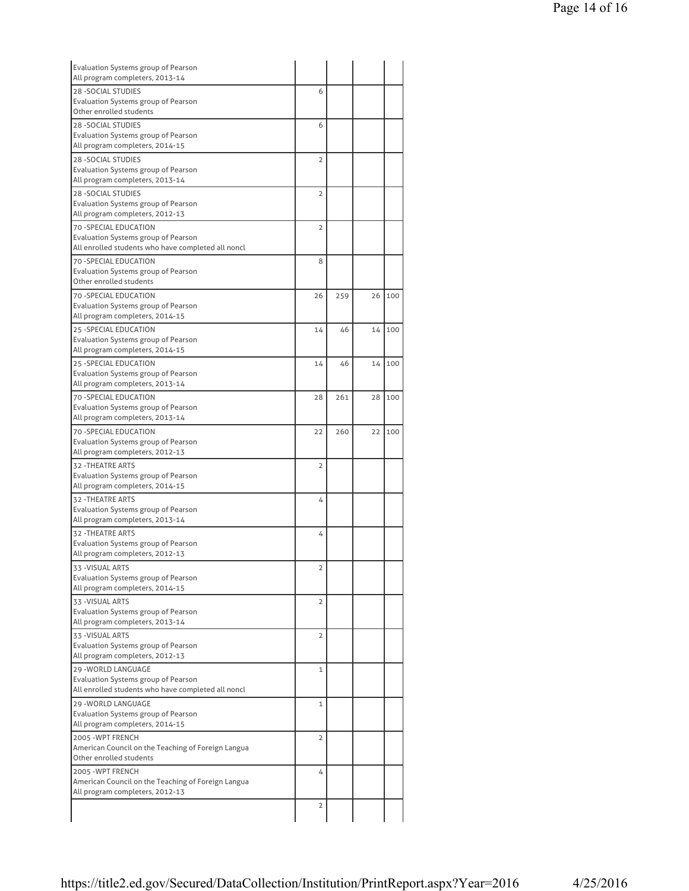| Evaluation Systems group of Pearson<br>All program completers, 2013-14  |                |     |    |     |
|-------------------------------------------------------------------------|----------------|-----|----|-----|
| 28 - SOCIAL STUDIES                                                     | 6              |     |    |     |
| Evaluation Systems group of Pearson                                     |                |     |    |     |
| Other enrolled students                                                 |                |     |    |     |
| <b>28 - SOCIAL STUDIES</b>                                              | 6              |     |    |     |
| Evaluation Systems group of Pearson<br>All program completers, 2014-15  |                |     |    |     |
| <b>28 - SOCIAL STUDIES</b>                                              | $\overline{2}$ |     |    |     |
| Evaluation Systems group of Pearson                                     |                |     |    |     |
| All program completers, 2013-14                                         |                |     |    |     |
| <b>28 - SOCIAL STUDIES</b>                                              | $\overline{2}$ |     |    |     |
| Evaluation Systems group of Pearson                                     |                |     |    |     |
| All program completers, 2012-13                                         |                |     |    |     |
| 70 - SPECIAL EDUCATION<br>Evaluation Systems group of Pearson           | $\overline{2}$ |     |    |     |
| All enrolled students who have completed all noncl                      |                |     |    |     |
| 70 - SPECIAL EDUCATION                                                  | 8              |     |    |     |
| Evaluation Systems group of Pearson                                     |                |     |    |     |
| Other enrolled students                                                 |                |     |    |     |
| <b>70 -SPECIAL EDUCATION</b>                                            | 26             | 259 | 26 | 100 |
| Evaluation Systems group of Pearson<br>All program completers, 2014-15  |                |     |    |     |
| 25 - SPECIAL EDUCATION                                                  | 14             | 46  | 14 | 100 |
| Evaluation Systems group of Pearson                                     |                |     |    |     |
| All program completers, 2014-15                                         |                |     |    |     |
| 25 - SPECIAL EDUCATION                                                  | 14             | 46  | 14 | 100 |
| Evaluation Systems group of Pearson                                     |                |     |    |     |
| All program completers, 2013-14                                         |                |     |    |     |
| <b>70 - SPECIAL EDUCATION</b><br>Evaluation Systems group of Pearson    | 28             | 261 | 28 | 100 |
| All program completers, 2013-14                                         |                |     |    |     |
| 70 - SPECIAL EDUCATION                                                  | 22             | 260 | 22 | 100 |
| Evaluation Systems group of Pearson                                     |                |     |    |     |
| All program completers, 2012-13                                         |                |     |    |     |
| <b>32 - THEATRE ARTS</b>                                                | $\overline{2}$ |     |    |     |
| Evaluation Systems group of Pearson<br>All program completers, 2014-15  |                |     |    |     |
| 32 - THEATRE ARTS                                                       | 4              |     |    |     |
| Evaluation Systems group of Pearson                                     |                |     |    |     |
| All program completers, 2013-14                                         |                |     |    |     |
| <b>32 - THEATRE ARTS</b>                                                | 4              |     |    |     |
| Evaluation Systems group of Pearson                                     |                |     |    |     |
| All program completers, 2012-13                                         |                |     |    |     |
| 33 -VISUAL ARTS<br>Evaluation Systems group of Pearson                  | 2              |     |    |     |
| All program completers, 2014-15                                         |                |     |    |     |
| 33 - VISUAL ARTS                                                        | 2              |     |    |     |
| Evaluation Systems group of Pearson                                     |                |     |    |     |
| All program completers, 2013-14                                         |                |     |    |     |
| 33 - VISUAL ARTS                                                        | 2              |     |    |     |
| Evaluation Systems group of Pearson<br>All program completers, 2012-13  |                |     |    |     |
| <b>29 - WORLD LANGUAGE</b>                                              | 1              |     |    |     |
| Evaluation Systems group of Pearson                                     |                |     |    |     |
| All enrolled students who have completed all noncl                      |                |     |    |     |
| 29 - WORLD LANGUAGE                                                     | $\mathbf 1$    |     |    |     |
| Evaluation Systems group of Pearson<br>All program completers, 2014-15  |                |     |    |     |
|                                                                         |                |     |    |     |
| 2005 - WPT FRENCH<br>American Council on the Teaching of Foreign Langua | 2              |     |    |     |
| Other enrolled students                                                 |                |     |    |     |
| 2005 - WPT FRENCH                                                       | 4              |     |    |     |
| American Council on the Teaching of Foreign Langua                      |                |     |    |     |
| All program completers, 2012-13                                         |                |     |    |     |
|                                                                         | 2              |     |    |     |
|                                                                         |                |     |    |     |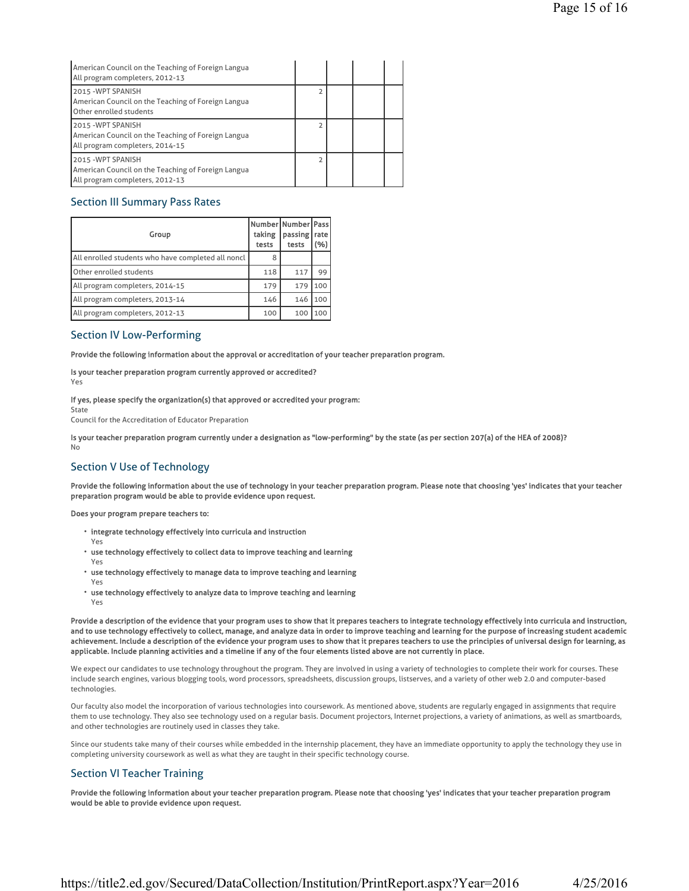| American Council on the Teaching of Foreign Langua<br>All program completers, 2012-13                      |  |  |
|------------------------------------------------------------------------------------------------------------|--|--|
| 2015 - WPT SPANISH<br>American Council on the Teaching of Foreign Langua<br>Other enrolled students        |  |  |
| 2015 -WPT SPANISH<br>American Council on the Teaching of Foreign Langua<br>All program completers, 2014-15 |  |  |
| 2015 -WPT SPANISH<br>American Council on the Teaching of Foreign Langua<br>All program completers, 2012-13 |  |  |

### Section III Summary Pass Rates

| Group                                              | Number Number   Pass  <br>taking<br>tests | passing rate<br>tests | (%) |
|----------------------------------------------------|-------------------------------------------|-----------------------|-----|
| All enrolled students who have completed all noncl | 8                                         |                       |     |
| Other enrolled students                            | 118                                       | 117                   | 99  |
| All program completers, 2014-15                    | 179                                       | 179                   | 100 |
| All program completers, 2013-14                    | 146                                       | 146                   | 100 |
| All program completers, 2012-13                    | 100                                       | 100                   | 100 |

### Section IV Low-Performing

Provide the following information about the approval or accreditation of your teacher preparation program.

Is your teacher preparation program currently approved or accredited? Yes

If yes, please specify the organization(s) that approved or accredited your program:

State Council for the Accreditation of Educator Preparation

Is your teacher preparation program currently under a designation as "low-performing" by the state (as per section 207(a) of the HEA of 2008)? No

# Section V Use of Technology

Provide the following information about the use of technology in your teacher preparation program. Please note that choosing 'yes' indicates that your teacher preparation program would be able to provide evidence upon request.

Does your program prepare teachers to:

- integrate technology effectively into curricula and instruction
- Yes
- use technology effectively to collect data to improve teaching and learning
- Yes
- use technology effectively to manage data to improve teaching and learning Yes
- use technology effectively to analyze data to improve teaching and learning Yes

Provide a description of the evidence that your program uses to show that it prepares teachers to integrate technology effectively into curricula and instruction, and to use technology effectively to collect, manage, and analyze data in order to improve teaching and learning for the purpose of increasing student academic achievement. Include a description of the evidence your program uses to show that it prepares teachers to use the principles of universal design for learning, as applicable. Include planning activities and a timeline if any of the four elements listed above are not currently in place.

We expect our candidates to use technology throughout the program. They are involved in using a variety of technologies to complete their work for courses. These include search engines, various blogging tools, word processors, spreadsheets, discussion groups, listserves, and a variety of other web 2.0 and computer-based technologies.

Our faculty also model the incorporation of various technologies into coursework. As mentioned above, students are regularly engaged in assignments that require them to use technology. They also see technology used on a regular basis. Document projectors, Internet projections, a variety of animations, as well as smartboards, and other technologies are routinely used in classes they take.

Since our students take many of their courses while embedded in the internship placement, they have an immediate opportunity to apply the technology they use in completing university coursework as well as what they are taught in their specific technology course.

# Section VI Teacher Training

Provide the following information about your teacher preparation program. Please note that choosing 'yes' indicates that your teacher preparation program would be able to provide evidence upon request.